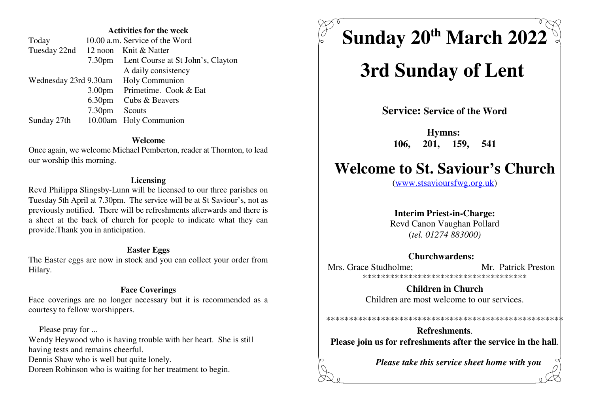#### **Activities for the week**

|                       | 10.00 a.m. Service of the Word           |
|-----------------------|------------------------------------------|
|                       | 12 noon Knit & Natter                    |
|                       | 7.30pm Lent Course at St John's, Clayton |
|                       | A daily consistency                      |
| Wednesday 23rd 9.30am | Holy Communion                           |
| 3.00 <sub>pm</sub>    | Primetime. Cook & Eat                    |
|                       | 6.30pm Cubs & Beavers                    |
| 7.30 <sub>pm</sub>    | Scouts                                   |
|                       | 10.00am Holy Communion                   |
|                       |                                          |

#### **Welcome**

 Once again, we welcome Michael Pemberton, reader at Thornton, to leadour worship this morning.

#### **Licensing**

 Revd Philippa Slingsby-Lunn will be licensed to our three parishes on Tuesday 5th April at 7.30pm. The service will be at St Saviour's, not as previously notified. There will be refreshments afterwards and there is a sheet at the back of church for people to indicate what they canprovide.Thank you in anticipation.

#### **Easter Eggs**

 The Easter eggs are now in stock and you can collect your order fromHilary.

#### **Face Coverings**

 Face coverings are no longer necessary but it is recommended as acourtesy to fellow worshippers.

 Please pray for ...Wendy Heywood who is having trouble with her heart. She is stillhaving tests and remains cheerful.Dennis Shaw who is well but quite lonely.Doreen Robinson who is waiting for her treatment to begin.

**Sunday 20 March 2022 th**

# **3rd Sunday of Lent**

**Service: Service of the Word**

**Hymns: 106, 201, 159, 541**

## **Welcome to St. Saviour's Church**

(www.stsavioursfwg.org.uk)

#### **Interim Priest-in-Charge:**

 Revd Canon Vaughan Pollard(*tel. 01274 883000)*

#### **Churchwardens:**

Mrs. Grace Studholme: Mr. Patrick Preston \*\*\*\*\*\*\*\*\*\*\*\*\*\*\*\*\*\*\*\*\*\*\*\*\*\*\*\*\*\*\*\*\*\*\*\*

> **Children in Church**Children are most welcome to our services.

## **Refreshments**.**Please join us for refreshments after the service in the hall**.

\*\*\*\*\*\*\*\*\*\*\*\*\*\*\*\*\*\*\*\*\*\*\*\*\*\*\*\*\*\*\*\*\*\*\*\*\*\*\*\*\*\*\*\*\*\*\*\*\*\*\*\*

*Please take this service sheet home with you*